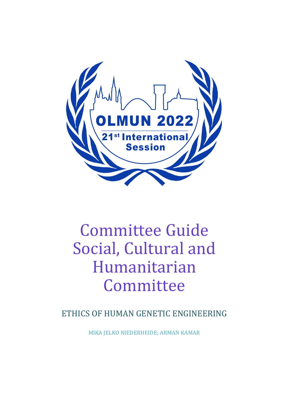

# Committee Guide Social, Cultural and Humanitarian Committee

ETHICS OF HUMAN GENETIC ENGINEERING

MIKA JELKO NIEDERHEIDE; ARMAN KAMAR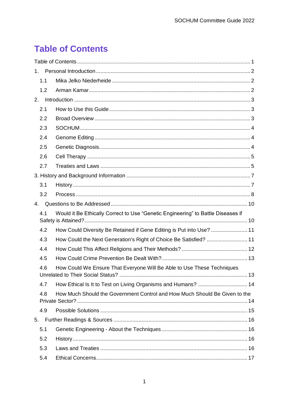## <span id="page-1-0"></span>**Table of Contents**

| $1_{\cdot}$                                                                             |                                                                            |
|-----------------------------------------------------------------------------------------|----------------------------------------------------------------------------|
| 1.1                                                                                     |                                                                            |
| 1.2                                                                                     |                                                                            |
| 2.                                                                                      |                                                                            |
| 2.1                                                                                     |                                                                            |
| 2.2                                                                                     |                                                                            |
| 2.3                                                                                     |                                                                            |
| 2.4                                                                                     |                                                                            |
| 2.5                                                                                     |                                                                            |
| 2.6                                                                                     |                                                                            |
| 2.7                                                                                     |                                                                            |
|                                                                                         |                                                                            |
| 3.1                                                                                     |                                                                            |
| 3.2                                                                                     |                                                                            |
| $\mathbf{4}$ .                                                                          |                                                                            |
| Would it Be Ethically Correct to Use "Genetic Engineering" to Battle Diseases if<br>4.1 |                                                                            |
| 4.2                                                                                     | How Could Diversity Be Retained if Gene Editing is Put into Use?  11       |
| 4.3                                                                                     | How Could the Next Generation's Right of Choice Be Satisfied?  11          |
| 4.4                                                                                     |                                                                            |
| 4.5                                                                                     |                                                                            |
| 4.6                                                                                     | How Could We Ensure That Everyone Will Be Able to Use These Techniques     |
| 4.7                                                                                     | How Ethical Is It to Test on Living Organisms and Humans?  14              |
| 4.8                                                                                     | How Much Should the Government Control and How Much Should Be Given to the |
| 4.9                                                                                     |                                                                            |
| 5.                                                                                      |                                                                            |
| 5.1                                                                                     |                                                                            |
| 5.2                                                                                     |                                                                            |
| 5.3                                                                                     |                                                                            |
| 5.4                                                                                     |                                                                            |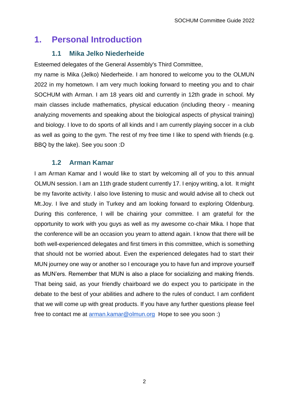### <span id="page-2-0"></span>**1. Personal Introduction**

#### **1.1 Mika Jelko Niederheide**

<span id="page-2-1"></span>Esteemed delegates of the General Assembly's Third Committee,

my name is Mika (Jelko) Niederheide. I am honored to welcome you to the OLMUN 2022 in my hometown. I am very much looking forward to meeting you and to chair SOCHUM with Arman. I am 18 years old and currently in 12th grade in school. My main classes include mathematics, physical education (including theory - meaning analyzing movements and speaking about the biological aspects of physical training) and biology. I love to do sports of all kinds and I am currently playing soccer in a club as well as going to the gym. The rest of my free time I like to spend with friends (e.g. BBQ by the lake). See you soon :D

#### **1.2 Arman Kamar**

<span id="page-2-2"></span>I am Arman Kamar and I would like to start by welcoming all of you to this annual OLMUN session. I am an 11th grade student currently 17. I enjoy writing, a lot. It might be my favorite activity. I also love listening to music and would advise all to check out Mt.Joy. I live and study in Turkey and am looking forward to exploring Oldenburg. During this conference, I will be chairing your committee. I am grateful for the opportunity to work with you guys as well as my awesome co-chair Mika. I hope that the conference will be an occasion you yearn to attend again. I know that there will be both well-experienced delegates and first timers in this committee, which is something that should not be worried about. Even the experienced delegates had to start their MUN journey one way or another so I encourage you to have fun and improve yourself as MUN'ers. Remember that MUN is also a place for socializing and making friends. That being said, as your friendly chairboard we do expect you to participate in the debate to the best of your abilities and adhere to the rules of conduct. I am confident that we will come up with great products. If you have any further questions please feel free to contact me at [arman.kamar@olmun.org](mailto:arman.kamar@olmun.org) Hope to see you soon :)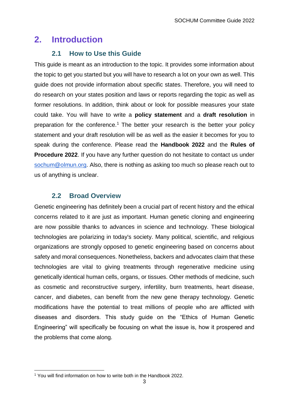### <span id="page-3-0"></span>**2. Introduction**

### <span id="page-3-1"></span>**2.1 How to Use this Guide**

This guide is meant as an introduction to the topic. It provides some information about the topic to get you started but you will have to research a lot on your own as well. This guide does not provide information about specific states. Therefore, you will need to do research on your states position and laws or reports regarding the topic as well as former resolutions. In addition, think about or look for possible measures your state could take. You will have to write a **policy statement** and a **draft resolution** in preparation for the conference.<sup>1</sup> The better your research is the better your policy statement and your draft resolution will be as well as the easier it becomes for you to speak during the conference. Please read the **Handbook 2022** and the **Rules of Procedure 2022.** If you have any further question do not hesitate to contact us under [sochum@olmun.org.](mailto:sochum@olmun.org) Also, there is nothing as asking too much so please reach out to us of anything is unclear.

### **2.2 Broad Overview**

<span id="page-3-2"></span>Genetic engineering has definitely been a crucial part of recent history and the ethical concerns related to it are just as important. Human genetic cloning and engineering are now possible thanks to advances in science and technology. These biological technologies are polarizing in today's society. Many political, scientific, and religious organizations are strongly opposed to genetic engineering based on concerns about safety and moral consequences. Nonetheless, backers and advocates claim that these technologies are vital to giving treatments through regenerative medicine using genetically identical human cells, organs, or tissues. Other methods of medicine, such as cosmetic and reconstructive surgery, infertility, burn treatments, heart disease, cancer, and diabetes, can benefit from the new gene therapy technology. Genetic modifications have the potential to treat millions of people who are afflicted with diseases and disorders. This study guide on the "Ethics of Human Genetic Engineering" will specifically be focusing on what the issue is, how it prospered and the problems that come along.

 <sup>1</sup> You will find information on how to write both in the Handbook 2022.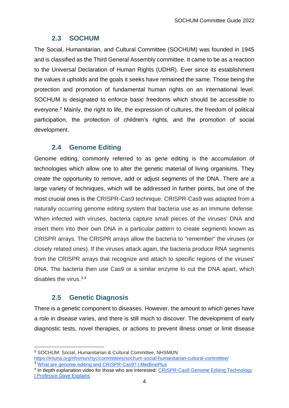#### **2.3 SOCHUM**

<span id="page-4-0"></span>The Social, Humanitarian, and Cultural Committee (SOCHUM) was founded in 1945 and is classified as the Third General Assembly committee. It came to be as a reaction to the Universal Declaration of Human Rights (UDHR). Ever since its establishment the values it upholds and the goals it seeks have remained the same. Those being the protection and promotion of fundamental human rights on an international level. SOCHUM is designated to enforce basic freedoms which should be accessible to everyone.<sup>2</sup> Mainly, the right to life, the expression of cultures, the freedom of political participation, the protection of children's rights, and the promotion of social development.

### **2.4 Genome Editing**

<span id="page-4-1"></span>Genome editing, commonly referred to as gene editing is the accumulation of technologies which allow one to alter the genetic material of living organisms. They create the opportunity to remove, add or adjust segments of the DNA. There are a large variety of techniques, which will be addressed in further points, but one of the most crucial ones is the CRISPR-Cas9 technique. CRISPR-Cas9 was adapted from a naturally occurring genome editing system that bacteria use as an immune defense. When infected with viruses, bacteria capture small pieces of the viruses' DNA and insert them into their own DNA in a particular pattern to create segments known as CRISPR arrays. The CRISPR arrays allow the bacteria to "remember" the viruses (or closely related ones). If the viruses attack again, the bacteria produce RNA segments from the CRISPR arrays that recognize and attach to specific regions of the viruses' DNA. The bacteria then use Cas9 or a similar enzyme to cut the DNA apart, which disables the virus. 3,4

### **2.5 Genetic Diagnosis**

<span id="page-4-2"></span>There is a genetic component to diseases. However, the amount to which genes have a role in disease varies, and there is still much to discover. The development of early diagnostic tests, novel therapies, or actions to prevent illness onset or limit disease

<sup>2</sup> SOCHUM: Social, Humanitarian & Cultural Committee, NHSMUN <https://imuna.org/nhsmun/nyc/committees/sochum-social-humanitarian-cultural-committee/> <sup>3</sup> What are genome editing and CRISPR-Cas9? | MedlinePlus

<sup>&</sup>lt;sup>4</sup> In depth explanation video for those who are interested: CRISPR-Cas9 Genome Editing Technology [| Professor Dave Explains](https://www.youtube.com/watch?v=IiPL5HgPehs&ab_channel=ProfessorDaveExplains)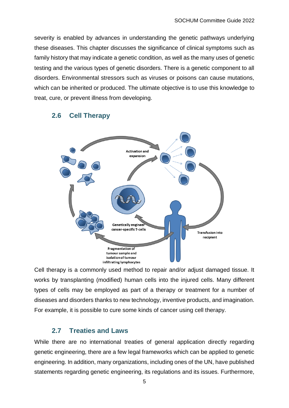severity is enabled by advances in understanding the genetic pathways underlying these diseases. This chapter discusses the significance of clinical symptoms such as family history that may indicate a genetic condition, as well as the many uses of genetic testing and the various types of genetic disorders. There is a genetic component to all disorders. Environmental stressors such as viruses or poisons can cause mutations, which can be inherited or produced. The ultimate objective is to use this knowledge to treat, cure, or prevent illness from developing.



#### <span id="page-5-0"></span>**2.6 Cell Therapy**

Cell therapy is a commonly used method to repair and/or adjust damaged tissue. It works by transplanting (modified) human cells into the injured cells. Many different types of cells may be employed as part of a therapy or treatment for a number of diseases and disorders thanks to new technology, inventive products, and imagination. For example, it is possible to cure some kinds of cancer using cell therapy.

#### **2.7 Treaties and Laws**

<span id="page-5-1"></span>While there are no international treaties of general application directly regarding genetic engineering, there are a few legal frameworks which can be applied to genetic engineering. In addition, many organizations, including ones of the UN, have published statements regarding genetic engineering, its regulations and its issues. Furthermore,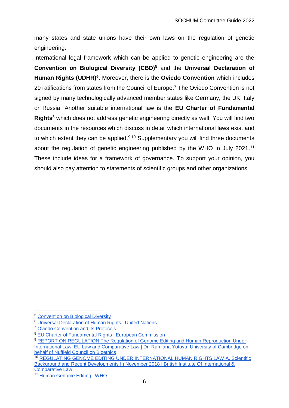many states and state unions have their own laws on the regulation of genetic engineering.

International legal framework which can be applied to genetic engineering are the **Convention on Biological Diversity (CBD)<sup>5</sup>** and the **Universal Declaration of Human Rights (UDHR)<sup>6</sup>** . Moreover, there is the **Oviedo Convention** which includes 29 ratifications from states from the Council of Europe. <sup>7</sup> The Oviedo Convention is not signed by many technologically advanced member states like Germany, the UK, Italy or Russia. Another suitable international law is the **EU Charter of Fundamental Rights**<sup>8</sup> which does not address genetic engineering directly as well. You will find two documents in the resources which discuss in detail which international laws exist and to which extent they can be applied.<sup>9,10</sup> Supplementary you will find three documents about the regulation of genetic engineering published by the WHO in July 2021.<sup>11</sup> These include ideas for a framework of governance. To support your opinion, you should also pay attention to statements of scientific groups and other organizations.

<sup>5</sup> [Convention on Biological Diversity](https://www.cbd.int/)

<sup>6</sup> [Universal Declaration of Human Rights | United Nations](https://www.un.org/en/about-us/universal-declaration-of-human-rights)

<sup>7</sup> [Oviedo Convention and its Protocols](https://www.coe.int/en/web/bioethics/oviedo-convention)

<sup>&</sup>lt;sup>8</sup> [EU Charter of Fundamental Rights | European Commission](https://ec.europa.eu/info/aid-development-cooperation-fundamental-rights/your-rights-eu/eu-charter-fundamental-rights_en)

<sup>9</sup> REPORT ON REGULATION The Regulation of Genome Editing and Human Reproduction Under International Law, EU Law and Comparative Law | Dr. Rumiana Yotova, University of Cambridge on [behalf of Nuffield Council on Bioethics](https://www.nuffieldbioethics.org/wp-content/uploads/Report-regulation-GEHR-for-web.pdf)

<sup>10</sup> [REGULATING GENOME EDITING UNDER INTERNATIONAL HUMAN RIGHTS LAW A. Scientific](https://www.cambridge.org/core/services/aop-cambridge-core/content/view/B8A73D2BC7EB01AD6167712431BB976A/S0020589320000184a.pdf/div-class-title-regulating-genome-editing-under-international-human-rights-law-div.pdf)  [Background and Recent Developments In November 2018 | British Institute Of International &](https://www.cambridge.org/core/services/aop-cambridge-core/content/view/B8A73D2BC7EB01AD6167712431BB976A/S0020589320000184a.pdf/div-class-title-regulating-genome-editing-under-international-human-rights-law-div.pdf)  [Comparative Law](https://www.cambridge.org/core/services/aop-cambridge-core/content/view/B8A73D2BC7EB01AD6167712431BB976A/S0020589320000184a.pdf/div-class-title-regulating-genome-editing-under-international-human-rights-law-div.pdf)

<sup>11</sup> [Human Genome Editing | WHO](https://www.who.int/teams/health-ethics-governance/emerging-technologies/human-genome-editing/)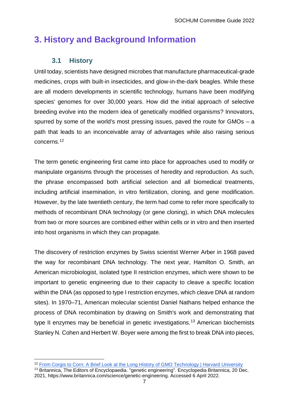### <span id="page-7-0"></span>**3. History and Background Information**

### **3.1 History**

<span id="page-7-1"></span>Until today, scientists have designed microbes that manufacture pharmaceutical-grade medicines, crops with built-in insecticides, and glow-in-the-dark beagles. While these are all modern developments in scientific technology, humans have been modifying species' genomes for over 30,000 years. How did the initial approach of selective breeding evolve into the modern idea of genetically modified organisms? Innovators, spurred by some of the world's most pressing issues, paved the route for GMOs – a path that leads to an inconceivable array of advantages while also raising serious concerns.<sup>12</sup>

The term genetic engineering first came into place for approaches used to modify or manipulate organisms through the processes of heredity and reproduction. As such, the phrase encompassed both artificial selection and all biomedical treatments, including artificial insemination, in vitro fertilization, cloning, and gene modification. However, by the late twentieth century, the term had come to refer more specifically to methods of recombinant DNA technology (or gene cloning), in which DNA molecules from two or more sources are combined either within cells or in vitro and then inserted into host organisms in which they can propagate.

The discovery of restriction enzymes by Swiss scientist Werner Arber in 1968 paved the way for recombinant DNA technology. The next year, Hamilton O. Smith, an American microbiologist, isolated type II restriction enzymes, which were shown to be important to genetic engineering due to their capacity to cleave a specific location within the DNA (as opposed to type I restriction enzymes, which cleave DNA at random sites). In 1970–71, American molecular scientist Daniel Nathans helped enhance the process of DNA recombination by drawing on Smith's work and demonstrating that type II enzymes may be beneficial in genetic investigations.<sup>13</sup> American biochemists Stanley N. Cohen and Herbert W. Boyer were among the first to break DNA into pieces,

 $\overline{a}$ <sup>12</sup> [From Corgis to Corn: A Brief Look at the Long History of GMO Technology | Harvard University](https://sitn.hms.harvard.edu/flash/2015/from-corgis-to-corn-a-brief-look-at-the-long-history-of-gmo-technology/)

<sup>13</sup> Britannica, The Editors of Encyclopaedia. "genetic engineering". Encyclopedia Britannica, 20 Dec. 2021, https://www.britannica.com/science/genetic-engineering. Accessed 6 April 2022.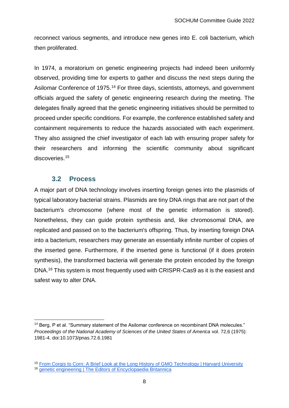reconnect various segments, and introduce new genes into E. coli bacterium, which then proliferated.

In 1974, a moratorium on genetic engineering projects had indeed been uniformly observed, providing time for experts to gather and discuss the next steps during the Asilomar Conference of 1975.<sup>14</sup> For three days, scientists, attorneys, and government officials argued the safety of genetic engineering research during the meeting. The delegates finally agreed that the genetic engineering initiatives should be permitted to proceed under specific conditions. For example, the conference established safety and containment requirements to reduce the hazards associated with each experiment. They also assigned the chief investigator of each lab with ensuring proper safety for their researchers and informing the scientific community about significant discoveries.<sup>15</sup>

#### **3.2 Process**

 $\overline{a}$ 

<span id="page-8-0"></span>A major part of DNA technology involves inserting foreign genes into the plasmids of typical laboratory bacterial strains. Plasmids are tiny DNA rings that are not part of the bacterium's chromosome (where most of the genetic information is stored). Nonetheless, they can guide protein synthesis and, like chromosomal DNA, are replicated and passed on to the bacterium's offspring. Thus, by inserting foreign DNA into a bacterium, researchers may generate an essentially infinite number of copies of the inserted gene. Furthermore, if the inserted gene is functional (if it does protein synthesis), the transformed bacteria will generate the protein encoded by the foreign DNA.<sup>16</sup> This system is most frequently used with CRISPR-Cas9 as it is the easiest and safest way to alter DNA.

<sup>&</sup>lt;sup>14</sup> Berg, P et al. "Summary statement of the Asilomar conference on recombinant DNA molecules." *Proceedings of the National Academy of Sciences of the United States of America* vol. 72,6 (1975): 1981-4. doi:10.1073/pnas.72.6.1981

<sup>&</sup>lt;sup>15</sup> [From Corgis to Corn: A Brief Look at the Long History of GMO Technology | Harvard University](https://sitn.hms.harvard.edu/flash/2015/from-corgis-to-corn-a-brief-look-at-the-long-history-of-gmo-technology/) <sup>16</sup> [genetic engineering | The Editors of Encyclopaedia Britannica](https://www.britannica.com/science/genetic-engineering)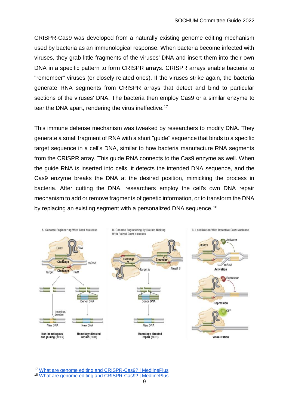CRISPR-Cas9 was developed from a naturally existing genome editing mechanism used by bacteria as an immunological response. When bacteria become infected with viruses, they grab little fragments of the viruses' DNA and insert them into their own DNA in a specific pattern to form CRISPR arrays. CRISPR arrays enable bacteria to "remember" viruses (or closely related ones). If the viruses strike again, the bacteria generate RNA segments from CRISPR arrays that detect and bind to particular sections of the viruses' DNA. The bacteria then employ Cas9 or a similar enzyme to tear the DNA apart, rendering the virus ineffective.<sup>17</sup>

This immune defense mechanism was tweaked by researchers to modify DNA. They generate a small fragment of RNA with a short "guide" sequence that binds to a specific target sequence in a cell's DNA, similar to how bacteria manufacture RNA segments from the CRISPR array. This guide RNA connects to the Cas9 enzyme as well. When the guide RNA is inserted into cells, it detects the intended DNA sequence, and the Cas9 enzyme breaks the DNA at the desired position, mimicking the process in bacteria. After cutting the DNA, researchers employ the cell's own DNA repair mechanism to add or remove fragments of genetic information, or to transform the DNA by replacing an existing segment with a personalized DNA sequence.<sup>18</sup>



<sup>17</sup> [What are genome editing and CRISPR-Cas9? | MedlinePlus](https://medlineplus.gov/genetics/understanding/genomicresearch/genomeediting/)

 $\overline{a}$ 

<sup>18</sup> [What are genome editing and CRISPR-Cas9? | MedlinePlus](https://medlineplus.gov/genetics/understanding/genomicresearch/genomeediting/)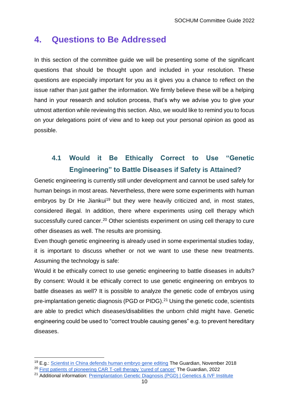### <span id="page-10-0"></span>**4. Questions to Be Addressed**

In this section of the committee guide we will be presenting some of the significant questions that should be thought upon and included in your resolution. These questions are especially important for you as it gives you a chance to reflect on the issue rather than just gather the information. We firmly believe these will be a helping hand in your research and solution process, that's why we advise you to give your utmost attention while reviewing this section. Also, we would like to remind you to focus on your delegations point of view and to keep out your personal opinion as good as possible.

### <span id="page-10-1"></span>**4.1 Would it Be Ethically Correct to Use "Genetic Engineering" to Battle Diseases if Safety is Attained?**

Genetic engineering is currently still under development and cannot be used safely for human beings in most areas. Nevertheless, there were some experiments with human embryos by Dr He Jiankui<sup>19</sup> but they were heavily criticized and, in most states, considered illegal. In addition, there where experiments using cell therapy which successfully cured cancer.<sup>20</sup> Other scientists experiment on using cell therapy to cure other diseases as well. The results are promising.

Even though genetic engineering is already used in some experimental studies today, it is important to discuss whether or not we want to use these new treatments. Assuming the technology is safe:

Would it be ethically correct to use genetic engineering to battle diseases in adults? By consent: Would it be ethically correct to use genetic engineering on embryos to battle diseases as well? It is possible to analyze the genetic code of embryos using pre-implantation genetic diagnosis (PGD or PIDG).<sup>21</sup> Using the genetic code, scientists are able to predict which diseases/disabilities the unborn child might have. Genetic engineering could be used to "correct trouble causing genes" e.g. to prevent hereditary diseases.

 $\overline{a}$ 

<sup>&</sup>lt;sup>19</sup> E.g.: [Scientist in China defends human embryo gene editing](https://www.theguardian.com/science/2018/nov/28/scientist-in-china-defends-human-embryo-gene-editing) The Guardian, November 2018

<sup>&</sup>lt;sup>20</sup> [First patients of pioneering CAR T-cell therapy 'cured of cancer'](https://www.theguardian.com/society/2022/feb/02/first-patients-pioneering-car-t-cell-therapy-cured-of-cancer) The Guardian, 2022

<sup>&</sup>lt;sup>21</sup> Additional information: [Preimplantation Genetic Diagnosis \(PGD\) | Genetics & IVF Institute](https://www.givf.com/geneticservices/whatispgd.shtml)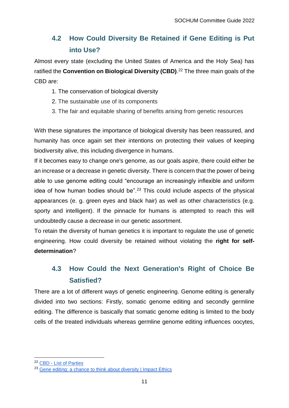### <span id="page-11-0"></span>**4.2 How Could Diversity Be Retained if Gene Editing is Put into Use?**

Almost every state (excluding the United States of America and the Holy Sea) has ratified the **Convention on Biological Diversity (CBD)**. <sup>22</sup> The three main goals of the CBD are:

- 1. The conservation of biological diversity
- 2. The sustainable use of its components
- 3. The fair and equitable sharing of benefits arising from genetic resources

With these signatures the importance of biological diversity has been reassured, and humanity has once again set their intentions on protecting their values of keeping biodiversity alive, this including divergence in humans.

If it becomes easy to change one's genome, as our goals aspire, there could either be an increase or a decrease in genetic diversity. There is concern that the power of being able to use genome editing could "encourage an increasingly inflexible and uniform idea of how human bodies should be".<sup>23</sup> This could include aspects of the physical appearances (e. g. green eyes and black hair) as well as other characteristics (e.g. sporty and intelligent). If the pinnacle for humans is attempted to reach this will undoubtedly cause a decrease in our genetic assortment.

To retain the diversity of human genetics it is important to regulate the use of genetic engineering. How could diversity be retained without violating the **right for selfdetermination**?

### <span id="page-11-1"></span>**4.3 How Could the Next Generation's Right of Choice Be Satisfied?**

There are a lot of different ways of genetic engineering. Genome editing is generally divided into two sections: Firstly, somatic genome editing and secondly germline editing. The difference is basically that somatic genome editing is limited to the body cells of the treated individuals whereas germline genome editing influences oocytes,

 $\overline{a}$ 

<sup>&</sup>lt;sup>22</sup> CBD - [List of Parties](https://www.cbd.int/information/parties.shtml)

<sup>&</sup>lt;sup>23</sup> Gene editing: a chance [to think about diversity | Impact Ethics](https://impactethics.ca/2015/12/10/gene-editing-a-chance-to-think-about-diversity/)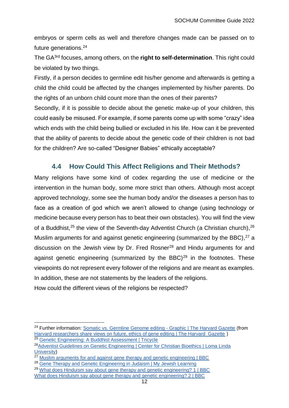embryos or sperm cells as well and therefore changes made can be passed on to future generations.<sup>24</sup>

The GA3rd focuses, among others, on the **right to self-determination**. This right could be violated by two things.

Firstly, if a person decides to germline edit his/her genome and afterwards is getting a child the child could be affected by the changes implemented by his/her parents. Do the rights of an unborn child count more than the ones of their parents?

Secondly, if it is possible to decide about the genetic make-up of your children, this could easily be misused. For example, if some parents come up with some "crazy" idea which ends with the child being bullied or excluded in his life. How can it be prevented that the ability of parents to decide about the genetic code of their children is not bad for the children? Are so-called "Designer Babies" ethically acceptable?

### **4.4 How Could This Affect Religions and Their Methods?**

<span id="page-12-0"></span>Many religions have some kind of codex regarding the use of medicine or the intervention in the human body, some more strict than others. Although most accept approved technology, some see the human body and/or the diseases a person has to face as a creation of god which we aren't allowed to change (using technology or medicine because every person has to beat their own obstacles). You will find the view of a Buddhist,<sup>25</sup> the view of the Seventh-day Adventist Church (a Christian church),<sup>26</sup> Muslim arguments for and against genetic engineering (summarized by the BBC),<sup>27</sup> a discussion on the Jewish view by Dr. Fred Rosner<sup>28</sup> and Hindu arguments for and against genetic engineering (summarized by the BBC) $^{29}$  in the footnotes. These viewpoints do not represent every follower of the religions and are meant as examples. In addition, these are not statements by the leaders of the religions. How could the different views of the religions be respected?

 $\overline{a}$ 

<sup>&</sup>lt;sup>24</sup> Further information: [Somatic vs. Germline Genome editing -](https://news.harvard.edu/wp-content/uploads/2018/12/new2019_08_01_Human_Genome_Editing_2500x1666.jpg) Graphic | The Harvard Gazette (from [Harvard researchers share views on future, ethics of gene editing | The Harvard Gazette](https://news.harvard.edu/gazette/story/2019/01/perspectives-on-gene-editing/) | 25 [Genetic Engineering: A Buddhist Assessment | Tricycle](https://tricycle.org/magazine/genetic-engineering-buddhist-assessment/)

<sup>&</sup>lt;sup>26</sup>Adventist Guidelines on Genetic Engineering | Center for Christian Bioethics | Loma Linda [University\)](https://religion.llu.edu/bioethics/adventist-guidelines-genetic-engineering)

<sup>27</sup> [Muslim arguments for and against gene therapy and genetic engineering | BBC](https://www.bbc.co.uk/bitesize/guides/zjw2fg8/revision/7)

<sup>&</sup>lt;sup>28</sup> [Gene Therapy and Genetic Engineering in Judaism | My Jewish Learning](https://www.myjewishlearning.com/article/gene-therapy-and-genetic-engineering-in-judaism/)

<sup>&</sup>lt;sup>29</sup> [What does Hinduism say about gene therapy and genetic engineering? 1 | BBC](https://www.bbc.co.uk/bitesize/guides/z7jmyrd/revision/6) [What does Hinduism say about gene therapy and genetic engineering? 2 | BBC](https://www.bbc.co.uk/bitesize/guides/z7jmyrd/revision/7)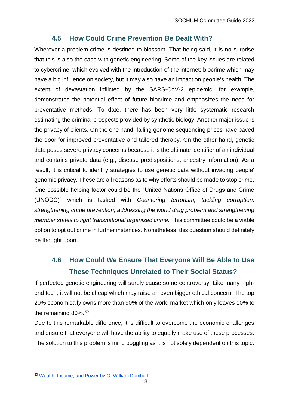### **4.5 How Could Crime Prevention Be Dealt With?**

<span id="page-13-0"></span>Wherever a problem crime is destined to blossom. That being said, it is no surprise that this is also the case with genetic engineering. Some of the key issues are related to cybercrime, which evolved with the introduction of the internet; biocrime which may have a big influence on society, but it may also have an impact on people's health. The extent of devastation inflicted by the SARS-CoV-2 epidemic, for example, demonstrates the potential effect of future biocrime and emphasizes the need for preventative methods. To date, there has been very little systematic research estimating the criminal prospects provided by synthetic biology. Another major issue is the privacy of clients. On the one hand, falling genome sequencing prices have paved the door for improved preventative and tailored therapy. On the other hand, genetic data poses severe privacy concerns because it is the ultimate identifier of an individual and contains private data (e.g., disease predispositions, ancestry information). As a result, it is critical to identify strategies to use genetic data without invading people' genomic privacy. These are all reasons as to why efforts should be made to stop crime. One possible helping factor could be the "United Nations Office of Drugs and Crime (UNODC)" which is tasked with *Countering terrorism, tackling corruption, strengthening crime prevention, addressing the world drug problem and strengthening member states to fight transnational organized crime.* This committee could be a viable option to opt out crime in further instances. Nonetheless, this question should definitely be thought upon.

### <span id="page-13-1"></span>**4.6 How Could We Ensure That Everyone Will Be Able to Use These Techniques Unrelated to Their Social Status?**

If perfected genetic engineering will surely cause some controversy. Like many highend tech, it will not be cheap which may raise an even bigger ethical concern. The top 20% economically owns more than 90% of the world market which only leaves 10% to the remaining 80%.<sup>30</sup>

Due to this remarkable difference, it is difficult to overcome the economic challenges and ensure that everyone will have the ability to equally make use of these processes. The solution to this problem is mind boggling as it is not solely dependent on this topic.

 <sup>30</sup> [Wealth, Income, and Power by G. William Domhoff](https://whorulesamerica.ucsc.edu/power/wealth.html)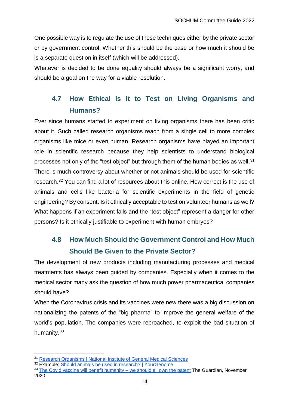One possible way is to regulate the use of these techniques either by the private sector or by government control. Whether this should be the case or how much it should be is a separate question in itself (which will be addressed).

Whatever is decided to be done equality should always be a significant worry, and should be a goal on the way for a viable resolution.

### <span id="page-14-0"></span>**4.7 How Ethical Is It to Test on Living Organisms and Humans?**

Ever since humans started to experiment on living organisms there has been critic about it. Such called research organisms reach from a single cell to more complex organisms like mice or even human. Research organisms have played an important role in scientific research because they help scientists to understand biological processes not only of the "test object" but through them of the human bodies as well.<sup>31</sup> There is much controversy about whether or not animals should be used for scientific research.<sup>32</sup> You can find a lot of resources about this online. How correct is the use of animals and cells like bacteria for scientific experiments in the field of genetic engineering? By consent: Is it ethically acceptable to test on volunteer humans as well? What happens if an experiment fails and the "test object" represent a danger for other persons? Is it ethically justifiable to experiment with human embryos?

### <span id="page-14-1"></span>**4.8 How Much Should the Government Control and How Much Should Be Given to the Private Sector?**

The development of new products including manufacturing processes and medical treatments has always been guided by companies. Especially when it comes to the medical sector many ask the question of how much power pharmaceutical companies should have?

When the Coronavirus crisis and its vaccines were new there was a big discussion on nationalizing the patents of the "big pharma" to improve the general welfare of the world's population. The companies were reproached, to exploit the bad situation of humanity.<sup>33</sup>

<sup>31</sup> [Research Organisms | National Institute of General Medical Sciences](https://www.nigms.nih.gov/education/fact-sheets/Pages/using-research-organisms.aspx)

<sup>32</sup> Example: [Should animals be used in research? | YourGenome](https://www.yourgenome.org/debates/should-animals-be-used-in-research)

<sup>&</sup>lt;sup>33</sup> [The Covid vaccine will benefit humanity –](https://www.theguardian.com/commentisfree/2020/nov/12/covid-vaccine-patent-pharmaceutical-industry-profits-public-sector) we should all own the patent The Guardian, November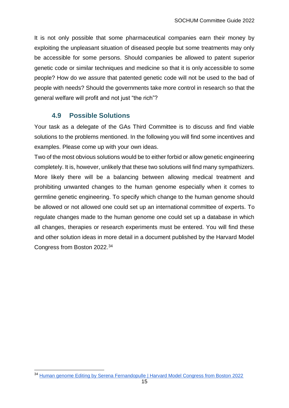It is not only possible that some pharmaceutical companies earn their money by exploiting the unpleasant situation of diseased people but some treatments may only be accessible for some persons. Should companies be allowed to patent superior genetic code or similar techniques and medicine so that it is only accessible to some people? How do we assure that patented genetic code will not be used to the bad of people with needs? Should the governments take more control in research so that the general welfare will profit and not just "the rich"?

#### **4.9 Possible Solutions**

<span id="page-15-0"></span>Your task as a delegate of the GAs Third Committee is to discuss and find viable solutions to the problems mentioned. In the following you will find some incentives and examples. Please come up with your own ideas.

Two of the most obvious solutions would be to either forbid or allow genetic engineering completely. It is, however, unlikely that these two solutions will find many sympathizers. More likely there will be a balancing between allowing medical treatment and prohibiting unwanted changes to the human genome especially when it comes to germline genetic engineering. To specify which change to the human genome should be allowed or not allowed one could set up an international committee of experts. To regulate changes made to the human genome one could set up a database in which all changes, therapies or research experiments must be entered. You will find these and other solution ideas in more detail in a document published by the Harvard Model Congress from Boston 2022. 34

<sup>&</sup>lt;sup>34</sup> [Human genome Editing by Serena Fernandopulle | Harvard Model Congress from Boston 2022](https://static1.squarespace.com/static/5cb7e5637d0c9145fa68863e/t/61d9cf665faaea24a0224894/1641664358505/SPWHO2.pdf)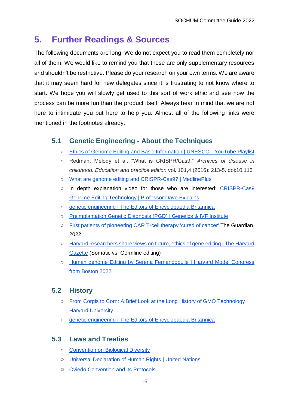### <span id="page-16-0"></span>**5. Further Readings & Sources**

The following documents are long. We do not expect you to read them completely nor all of them. We would like to remind you that these are only supplementary resources and shouldn't be restrictive. Please do your research on your own terms. We are aware that it may seem hard for new delegates since it is frustrating to not know where to start. We hope you will slowly get used to this sort of work ethic and see how the process can be more fun than the product itself. Always bear in mind that we are not here to intimidate you but here to help you. Almost all of the following links were mentioned in the footnotes already.

### <span id="page-16-1"></span>**5.1 Genetic Engineering - About the Techniques**

- [Ethics of Genome Editing and Basic Information | UNESCO -](https://youtube.com/playlist?list=PLWuYED1WVJINiD57ZHbkIzibG0Ab8DA__) YouTube Playlist
- Redman, Melody et al. "What is CRISPR/Cas9." *Archives of disease in childhood. Education and practice edition* vol. 101,4 (2016): 213-5. doi:10.113
- [What are genome editing and CRISPR-Cas9? | MedlinePlus](https://medlineplus.gov/genetics/understanding/genomicresearch/genomeediting/#:~:text=Genome%20editing%20)
- o In depth explanation video for those who are interested: CRISPR-Cas9 [Genome Editing Technology | Professor Dave Explains](https://www.youtube.com/watch?v=IiPL5HgPehs&ab_channel=ProfessorDaveExplains)
- [genetic engineering | The Editors of Encyclopaedia Britannica](https://www.britannica.com/science/genetic-engineering)
- [Preimplantation Genetic Diagnosis \(PGD\) | Genetics](https://www.givf.com/geneticservices/whatispgd.shtml) & IVF Institute
- [First patients of pioneering CAR T-cell therapy 'cured of cancer'](https://www.theguardian.com/society/2022/feb/02/first-patients-pioneering-car-t-cell-therapy-cured-of-cancer) The Guardian, 2022
- [Harvard researchers share views on future, ethics of gene editing | The Harvard](https://news.harvard.edu/gazette/story/2019/01/perspectives-on-gene-editing/)  [Gazette](https://news.harvard.edu/gazette/story/2019/01/perspectives-on-gene-editing/) (Somatic vs. Germline editing)
- [Human genome Editing by Serena Fernandopulle | Harvard Model Congress](https://static1.squarespace.com/static/5cb7e5637d0c9145fa68863e/t/61d9cf665faaea24a0224894/1641664358505/SPWHO2.pdf)  [from Boston 2022](https://static1.squarespace.com/static/5cb7e5637d0c9145fa68863e/t/61d9cf665faaea24a0224894/1641664358505/SPWHO2.pdf)

#### <span id="page-16-2"></span>**5.2 History**

- [From Corgis to Corn: A Brief Look at the Long History of GMO Technology |](https://sitn.hms.harvard.edu/flash/2015/from-corgis-to-corn-a-brief-look-at-the-long-history-of-gmo-technology/)  [Harvard University](https://sitn.hms.harvard.edu/flash/2015/from-corgis-to-corn-a-brief-look-at-the-long-history-of-gmo-technology/)
- [genetic engineering | The Editors of Encyclopaedia Britannica](https://www.britannica.com/science/genetic-engineering)

#### <span id="page-16-3"></span>**5.3 Laws and Treaties**

- [Convention on Biological Diversity](https://www.cbd.int/)
- [Universal Declaration of Human Rights | United Nations](https://www.un.org/en/about-us/universal-declaration-of-human-rights)
- [Oviedo Convention and its Protocols](https://www.coe.int/en/web/bioethics/oviedo-convention)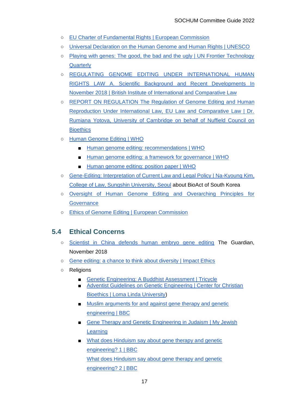- [EU Charter of Fundamental Rights | European Commission](https://ec.europa.eu/info/aid-development-cooperation-fundamental-rights/your-rights-eu/eu-charter-fundamental-rights_en)
- [Universal Declaration on the Human Genome and Human Rights | UNESCO](https://en.unesco.org/themes/ethics-science-and-technology/human-genome-and-human-rights)
- [Playing with genes: The good, the bad and the ugly | UN Frontier Technology](https://www.un.org/development/desa/dpad/wp-content/uploads/sites/45/publication/FTQ_May_2019.pdf)  **Quarterly**
- [REGULATING GENOME EDITING UNDER INTERNATIONAL HUMAN](https://www.cambridge.org/core/services/aop-cambridge-core/content/view/B8A73D2BC7EB01AD6167712431BB976A/S0020589320000184a.pdf/div-class-title-regulating-genome-editing-under-international-human-rights-law-div.pdf)  [RIGHTS LAW A. Scientific Background and Recent Developments In](https://www.cambridge.org/core/services/aop-cambridge-core/content/view/B8A73D2BC7EB01AD6167712431BB976A/S0020589320000184a.pdf/div-class-title-regulating-genome-editing-under-international-human-rights-law-div.pdf)  [November 2018 | British Institute of International and Comparative Law](https://www.cambridge.org/core/services/aop-cambridge-core/content/view/B8A73D2BC7EB01AD6167712431BB976A/S0020589320000184a.pdf/div-class-title-regulating-genome-editing-under-international-human-rights-law-div.pdf)
- REPORT ON REGULATION The Regulation of Genome Editing and Human [Reproduction Under International Law, EU Law and Comparative Law | Dr.](https://www.nuffieldbioethics.org/wp-content/uploads/Report-regulation-GEHR-for-web.pdf)  [Rumiana Yotova, University of Cambridge on behalf of Nuffield Council on](https://www.nuffieldbioethics.org/wp-content/uploads/Report-regulation-GEHR-for-web.pdf)  **[Bioethics](https://www.nuffieldbioethics.org/wp-content/uploads/Report-regulation-GEHR-for-web.pdf)**
- [Human Genome Editing | WHO](https://www.who.int/teams/health-ethics-governance/emerging-technologies/human-genome-editing/)
	- [Human genome editing: recommendations | WHO](https://www.who.int/publications/i/item/9789240030381)
	- [Human genome editing: a framework for governance | WHO](https://www.who.int/publications/i/item/9789240030060)
	- Human genome editing: position paper | WHO
- Gene-Editing: Interpretation [of Current Law and Legal Policy | Na-Kyoung Kim,](https://www.ncbi.nlm.nih.gov/pmc/articles/PMC5651701/)  [College of Law, Sungshin University, Seoul](https://www.ncbi.nlm.nih.gov/pmc/articles/PMC5651701/) about BioAct of South Korea
- [Oversight of Human Genome Editing and Overarching Principles for](https://www.ncbi.nlm.nih.gov/books/NBK447266/)  **[Governance](https://www.ncbi.nlm.nih.gov/books/NBK447266/)**
- [Ethics of Genome Editing | European Commission](https://ec.europa.eu/info/sites/default/files/research_and_innovation/ege/ege_ethics_of_genome_editing-opinion_publication.pdf)

### <span id="page-17-0"></span>**5.4 Ethical Concerns**

- [Scientist in China defends human embryo gene editing](https://www.theguardian.com/science/2018/nov/28/scientist-in-china-defends-human-embryo-gene-editing) The Guardian, November 2018
- [Gene editing: a chance to think about diversity | Impact Ethics](https://impactethics.ca/2015/12/10/gene-editing-a-chance-to-think-about-diversity/)
- Religions
	- [Genetic Engineering: A Buddhist Assessment | Tricycle](https://tricycle.org/magazine/genetic-engineering-buddhist-assessment/)
	- Adventist Guidelines on Genetic Engineering | Center for Christian [Bioethics | Loma Linda University\)](https://religion.llu.edu/bioethics/adventist-guidelines-genetic-engineering)
	- Muslim arguments for and against gene therapy and genetic [engineering | BBC](https://www.bbc.co.uk/bitesize/guides/zjw2fg8/revision/7)
	- Gene Therapy and Genetic Engineering in Judaism | My Jewish **[Learning](https://www.myjewishlearning.com/article/gene-therapy-and-genetic-engineering-in-judaism/)**
	- What does Hinduism say about gene therapy and genetic [engineering? 1 | BBC](https://www.bbc.co.uk/bitesize/guides/z7jmyrd/revision/6) What [does Hinduism say about gene therapy and genetic](https://www.bbc.co.uk/bitesize/guides/z7jmyrd/revision/7)  [engineering? 2 | BBC](https://www.bbc.co.uk/bitesize/guides/z7jmyrd/revision/7)